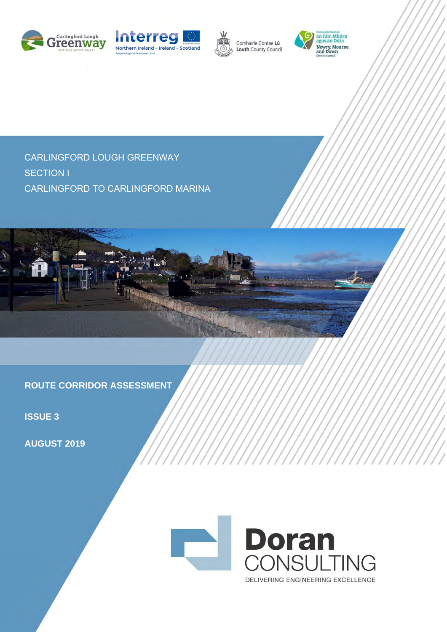





Comhairle Contae Lú Louth County Council



CARLINGFORD LOUGH GREENWAY SECTION I CARLINGFORD TO CARLINGFORD MARINA



**ROUTE CORRIDOR ASSESSMENT**

**ISSUE 3**

**AUGUST 2019**

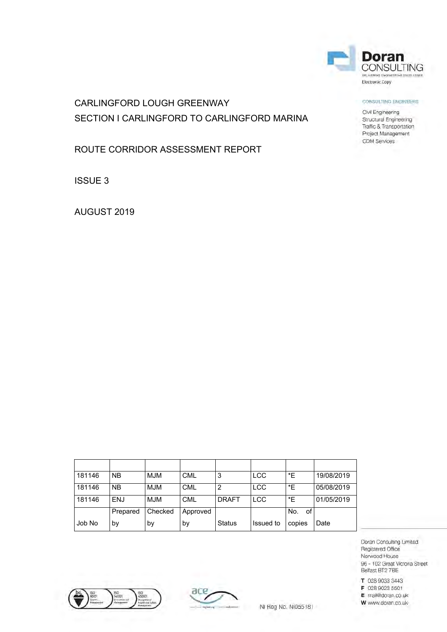

### CONSULTING ENGINEERS

Civil Engineering Structural Engineering Traffic & Transportation Project Management CDM Services

# CARLINGFORD LOUGH GREENWAY SECTION I CARLINGFORD TO CARLINGFORD MARINA

ROUTE CORRIDOR ASSESSMENT REPORT

ISSUE 3

AUGUST 2019

| 181146 | <b>NB</b> | <b>MJM</b> | <b>CML</b> | 3             | <b>LCC</b> | *E        | 19/08/2019 |
|--------|-----------|------------|------------|---------------|------------|-----------|------------|
| 181146 | <b>NB</b> | <b>MJM</b> | <b>CML</b> | 2             | <b>LCC</b> | *E        | 05/08/2019 |
| 181146 | ENJ       | <b>MJM</b> | <b>CML</b> | <b>DRAFT</b>  | <b>LCC</b> | *E        | 01/05/2019 |
|        | Prepared  | Checked    | Approved   |               |            | No.<br>of |            |
| Job No | by        | bγ         | .by        | <b>Status</b> | Issued to  | copies    | Date       |





NI Reg No. NI055181

Doran Consulting Limited Registered Office Norwood House 96 - 102 Great Victoria Street Belfast BT2 7BE

T 028 9033 3443

F 028 9023 5501

E mail@doran.co.uk W www.doran.co.uk-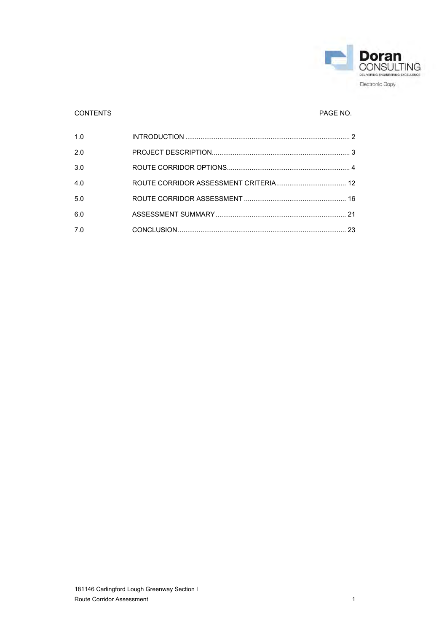

## CONTENTS PAGE NO.

| 1.0 |  |
|-----|--|
| 2.0 |  |
| 3.0 |  |
| 4.0 |  |
| 5.0 |  |
| 6.0 |  |
| 7.0 |  |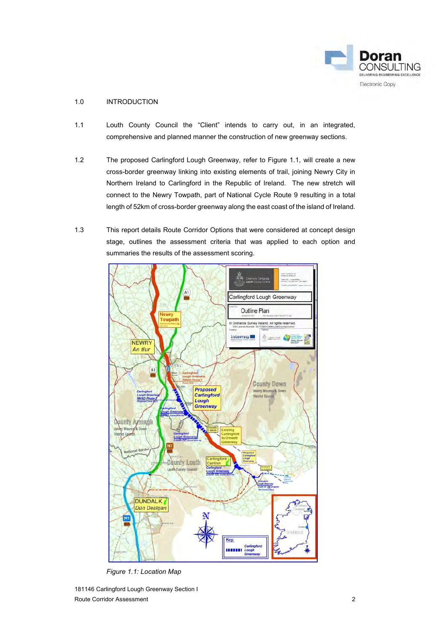

### <span id="page-3-0"></span>1.0 INTRODUCTION

- 1.1 Louth County Council the "Client" intends to carry out, in an integrated, comprehensive and planned manner the construction of new greenway sections.
- 1.2 The proposed Carlingford Lough Greenway, refer to Figure 1.1, will create a new cross-border greenway linking into existing elements of trail, joining Newry City in Northern Ireland to Carlingford in the Republic of Ireland. The new stretch will connect to the Newry Towpath, part of National Cycle Route 9 resulting in a total length of 52km of cross-border greenway along the east coast of the island of Ireland.
- 1.3 This report details Route Corridor Options that were considered at concept design stage, outlines the assessment criteria that was applied to each option and summaries the results of the assessment scoring.



*Figure 1.1: Location Map*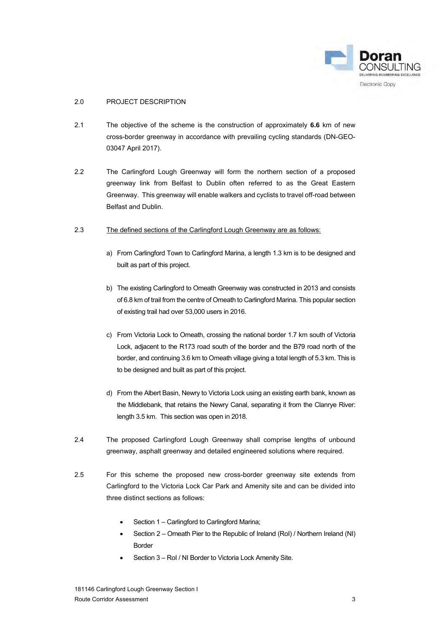

### <span id="page-4-0"></span>2.0 PROJECT DESCRIPTION

- 2.1 The objective of the scheme is the construction of approximately **6.6** km of new cross-border greenway in accordance with prevailing cycling standards (DN-GEO-03047 April 2017).
- 2.2 The Carlingford Lough Greenway will form the northern section of a proposed greenway link from Belfast to Dublin often referred to as the Great Eastern Greenway. This greenway will enable walkers and cyclists to travel off-road between Belfast and Dublin.

### 2.3 The defined sections of the Carlingford Lough Greenway are as follows:

- a) From Carlingford Town to Carlingford Marina, a length 1.3 km is to be designed and built as part of this project.
- b) The existing Carlingford to Omeath Greenway was constructed in 2013 and consists of 6.8 km of trail from the centre of Omeath to Carlingford Marina. This popular section of existing trail had over 53,000 users in 2016.
- c) From Victoria Lock to Omeath, crossing the national border 1.7 km south of Victoria Lock, adjacent to the R173 road south of the border and the B79 road north of the border, and continuing 3.6 km to Omeath village giving a total length of 5.3 km. This is to be designed and built as part of this project.
- d) From the Albert Basin, Newry to Victoria Lock using an existing earth bank, known as the Middlebank, that retains the Newry Canal, separating it from the Clanrye River: length 3.5 km. This section was open in 2018.
- 2.4 The proposed Carlingford Lough Greenway shall comprise lengths of unbound greenway, asphalt greenway and detailed engineered solutions where required.
- 2.5 For this scheme the proposed new cross-border greenway site extends from Carlingford to the Victoria Lock Car Park and Amenity site and can be divided into three distinct sections as follows:
	- Section 1 Carlingford to Carlingford Marina;
	- Section 2 Omeath Pier to the Republic of Ireland (RoI) / Northern Ireland (NI) Border
	- Section 3 RoI / NI Border to Victoria Lock Amenity Site.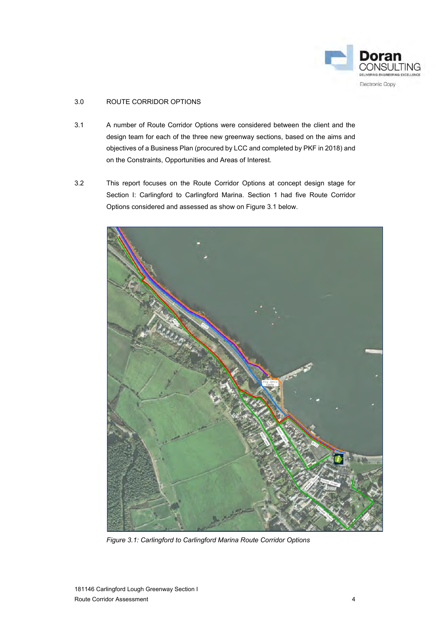

### <span id="page-5-0"></span>3.0 ROUTE CORRIDOR OPTIONS

- 3.1 A number of Route Corridor Options were considered between the client and the design team for each of the three new greenway sections, based on the aims and objectives of a Business Plan (procured by LCC and completed by PKF in 2018) and on the Constraints, Opportunities and Areas of Interest.
- 3.2 This report focuses on the Route Corridor Options at concept design stage for Section I: Carlingford to Carlingford Marina. Section 1 had five Route Corridor Options considered and assessed as show on Figure 3.1 below.



*Figure 3.1: Carlingford to Carlingford Marina Route Corridor Options*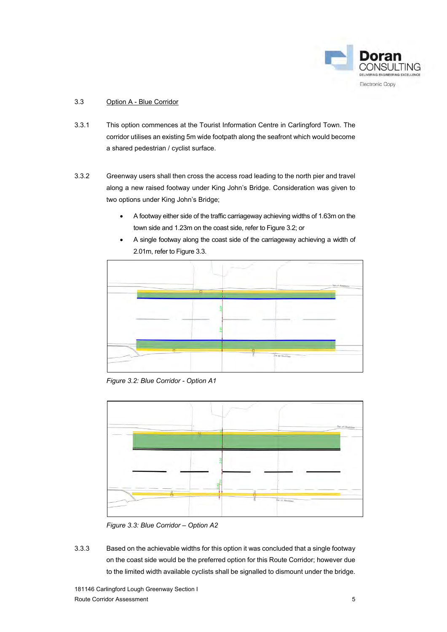

### 3.3 Option A - Blue Corridor

- 3.3.1 This option commences at the Tourist Information Centre in Carlingford Town. The corridor utilises an existing 5m wide footpath along the seafront which would become a shared pedestrian / cyclist surface.
- 3.3.2 Greenway users shall then cross the access road leading to the north pier and travel along a new raised footway under King John's Bridge. Consideration was given to two options under King John's Bridge;
	- A footway either side of the traffic carriageway achieving widths of 1.63m on the town side and 1.23m on the coast side, refer to Figure 3.2; or
	- A single footway along the coast side of the carriageway achieving a width of 2.01m, refer to Figure 3.3.



*Figure 3.2: Blue Corridor - Option A1* 



*Figure 3.3: Blue Corridor – Option A2* 

3.3.3 Based on the achievable widths for this option it was concluded that a single footway on the coast side would be the preferred option for this Route Corridor; however due to the limited width available cyclists shall be signalled to dismount under the bridge.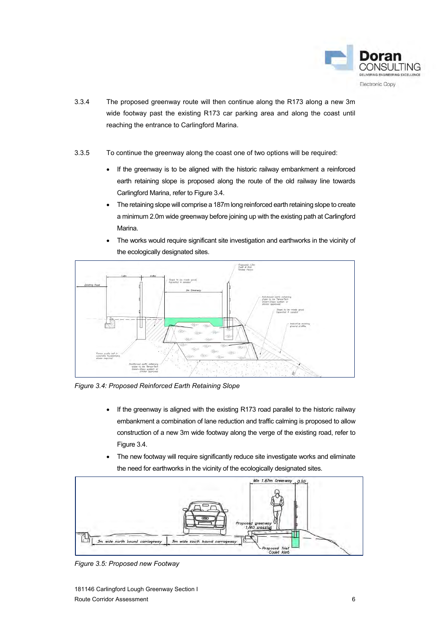

- 3.3.4 The proposed greenway route will then continue along the R173 along a new 3m wide footway past the existing R173 car parking area and along the coast until reaching the entrance to Carlingford Marina.
- 3.3.5 To continue the greenway along the coast one of two options will be required:
	- If the greenway is to be aligned with the historic railway embankment a reinforced earth retaining slope is proposed along the route of the old railway line towards Carlingford Marina, refer to Figure 3.4.
	- The retaining slope will comprise a 187m long reinforced earth retaining slope to create a minimum 2.0m wide greenway before joining up with the existing path at Carlingford Marina.
	- The works would require significant site investigation and earthworks in the vicinity of the ecologically designated sites.



*Figure 3.4: Proposed Reinforced Earth Retaining Slope* 

- If the greenway is aligned with the existing R173 road parallel to the historic railway embankment a combination of lane reduction and traffic calming is proposed to allow construction of a new 3m wide footway along the verge of the existing road, refer to Figure 3.4.
- The new footway will require significantly reduce site investigate works and eliminate the need for earthworks in the vicinity of the ecologically designated sites.



*Figure 3.5: Proposed new Footway*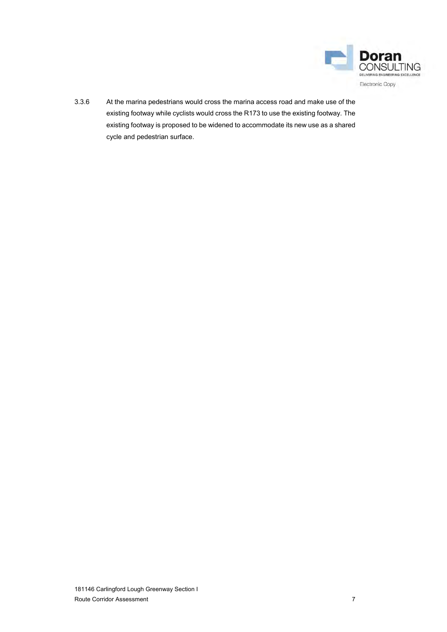

3.3.6 At the marina pedestrians would cross the marina access road and make use of the existing footway while cyclists would cross the R173 to use the existing footway. The existing footway is proposed to be widened to accommodate its new use as a shared cycle and pedestrian surface.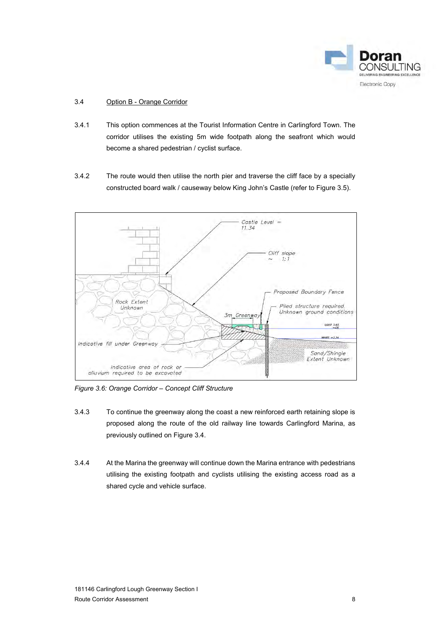

### 3.4 Option B - Orange Corridor

- 3.4.1 This option commences at the Tourist Information Centre in Carlingford Town. The corridor utilises the existing 5m wide footpath along the seafront which would become a shared pedestrian / cyclist surface.
- 3.4.2 The route would then utilise the north pier and traverse the cliff face by a specially constructed board walk / causeway below King John's Castle (refer to Figure 3.5).



*Figure 3.6: Orange Corridor – Concept Cliff Structure* 

- 3.4.3 To continue the greenway along the coast a new reinforced earth retaining slope is proposed along the route of the old railway line towards Carlingford Marina, as previously outlined on Figure 3.4.
- 3.4.4 At the Marina the greenway will continue down the Marina entrance with pedestrians utilising the existing footpath and cyclists utilising the existing access road as a shared cycle and vehicle surface.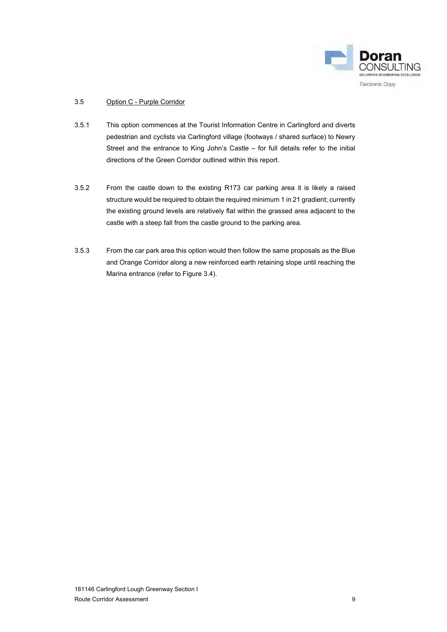

### 3.5 Option C - Purple Corridor

- 3.5.1 This option commences at the Tourist Information Centre in Carlingford and diverts pedestrian and cyclists via Carlingford village (footways / shared surface) to Newry Street and the entrance to King John's Castle – for full details refer to the initial directions of the Green Corridor outlined within this report.
- 3.5.2 From the castle down to the existing R173 car parking area it is likely a raised structure would be required to obtain the required minimum 1 in 21 gradient; currently the existing ground levels are relatively flat within the grassed area adjacent to the castle with a steep fall from the castle ground to the parking area.
- 3.5.3 From the car park area this option would then follow the same proposals as the Blue and Orange Corridor along a new reinforced earth retaining slope until reaching the Marina entrance (refer to Figure 3.4).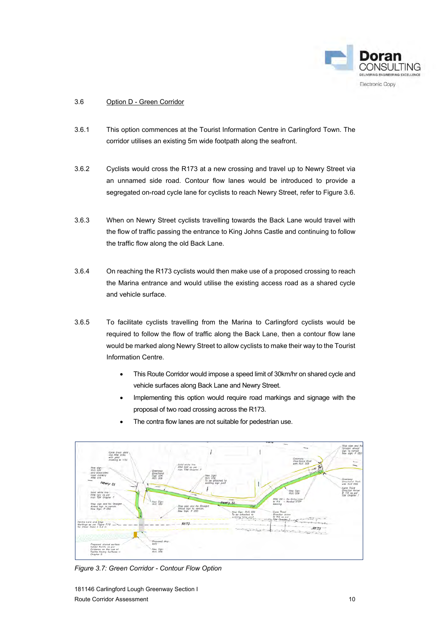

### 3.6 Option D - Green Corridor

- 3.6.1 This option commences at the Tourist Information Centre in Carlingford Town. The corridor utilises an existing 5m wide footpath along the seafront.
- 3.6.2 Cyclists would cross the R173 at a new crossing and travel up to Newry Street via an unnamed side road. Contour flow lanes would be introduced to provide a segregated on-road cycle lane for cyclists to reach Newry Street, refer to Figure 3.6.
- 3.6.3 When on Newry Street cyclists travelling towards the Back Lane would travel with the flow of traffic passing the entrance to King Johns Castle and continuing to follow the traffic flow along the old Back Lane.
- 3.6.4 On reaching the R173 cyclists would then make use of a proposed crossing to reach the Marina entrance and would utilise the existing access road as a shared cycle and vehicle surface.
- 3.6.5 To facilitate cyclists travelling from the Marina to Carlingford cyclists would be required to follow the flow of traffic along the Back Lane, then a contour flow lane would be marked along Newry Street to allow cyclists to make their way to the Tourist Information Centre.
	- This Route Corridor would impose a speed limit of 30km/hr on shared cycle and vehicle surfaces along Back Lane and Newry Street.
	- Implementing this option would require road markings and signage with the proposal of two road crossing across the R173.
- Ï Solid white line<br>RRM 022 as per<br>Joint TSM Chanter Direction<br>Sign with<br>Rom non New Sig-RRM 091- No Entry L<br>M 114 - Worded ST ew Sign  $R173$ R173 Pro tile as per<br>on the use of .<br>New Sign<br>RUS 058
- The contra flow lanes are not suitable for pedestrian use.

*Figure 3.7: Green Corridor - Contour Flow Option*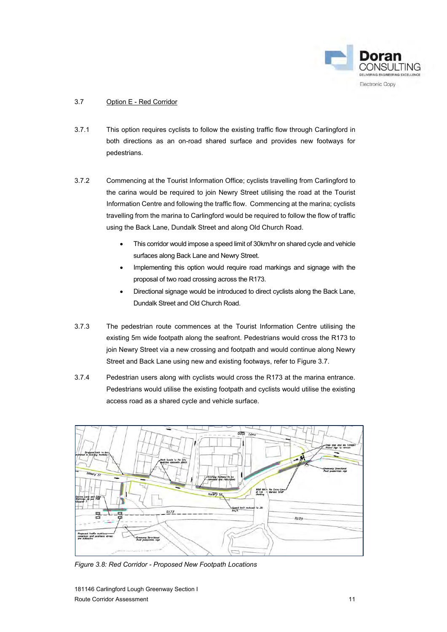

### 3.7 Option E - Red Corridor

- 3.7.1 This option requires cyclists to follow the existing traffic flow through Carlingford in both directions as an on-road shared surface and provides new footways for pedestrians.
- 3.7.2 Commencing at the Tourist Information Office; cyclists travelling from Carlingford to the carina would be required to join Newry Street utilising the road at the Tourist Information Centre and following the traffic flow. Commencing at the marina; cyclists travelling from the marina to Carlingford would be required to follow the flow of traffic using the Back Lane, Dundalk Street and along Old Church Road.
	- This corridor would impose a speed limit of 30km/hr on shared cycle and vehicle surfaces along Back Lane and Newry Street.
	- Implementing this option would require road markings and signage with the proposal of two road crossing across the R173.
	- Directional signage would be introduced to direct cyclists along the Back Lane, Dundalk Street and Old Church Road.
- 3.7.3 The pedestrian route commences at the Tourist Information Centre utilising the existing 5m wide footpath along the seafront. Pedestrians would cross the R173 to join Newry Street via a new crossing and footpath and would continue along Newry Street and Back Lane using new and existing footways, refer to Figure 3.7.
- 3.7.4 Pedestrian users along with cyclists would cross the R173 at the marina entrance. Pedestrians would utilise the existing footpath and cyclists would utilise the existing access road as a shared cycle and vehicle surface.



*Figure 3.8: Red Corridor - Proposed New Footpath Locations*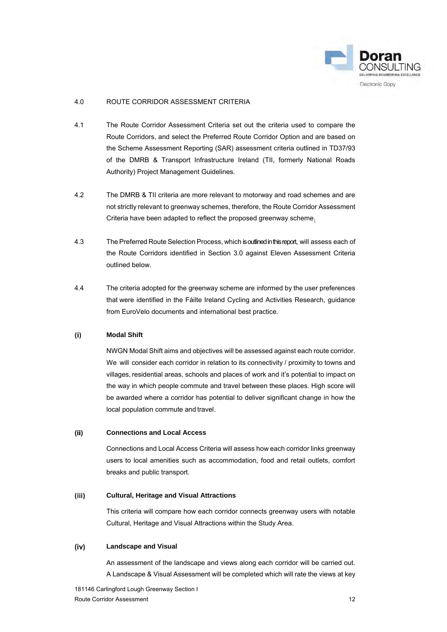

### <span id="page-13-0"></span>4.0 ROUTE CORRIDOR ASSESSMENT CRITERIA

- 4.1 The Route Corridor Assessment Criteria set out the criteria used to compare the Route Corridors, and select the Preferred Route Corridor Option and are based on the Scheme Assessment Reporting (SAR) assessment criteria outlined in TD37/93 of the DMRB & Transport Infrastructure Ireland (TII, formerly National Roads Authority) Project Management Guidelines.
- 4.2 The DMRB & TII criteria are more relevant to motorway and road schemes and are not strictly relevant to greenway schemes, therefore, the Route Corridor Assessment Criteria have been adapted to reflect the proposed greenway scheme.
- 4.3 The Preferred Route Selection Process, which is outlined in this report, will assess each of the Route Corridors identified in Section 3.0 against Eleven Assessment Criteria outlined below.
- 4.4 The criteria adopted for the greenway scheme are informed by the user preferences that were identified in the Fáilte Ireland Cycling and Activities Research, guidance from EuroVelo documents and international best practice.

#### **Modal Shift**  $(i)$

NWGN Modal Shift aims and objectives will be assessed against each route corridor. We will consider each corridor in relation to its connectivity / proximity to towns and villages, residential areas, schools and places of work and it's potential to impact on the way in which people commute and travel between these places. High score will be awarded where a corridor has potential to deliver significant change in how the local population commute and travel.

### $(ii)$ **Connections and Local Access**

Connections and Local Access Criteria will assess how each corridor links greenway users to local amenities such as accommodation, food and retail outlets, comfort breaks and public transport.

#### $(iii)$ **Cultural, Heritage and Visual Attractions**

This criteria will compare how each corridor connects greenway users with notable Cultural, Heritage and Visual Attractions within the Study Area.

#### $(iv)$ **Landscape and Visual**

An assessment of the landscape and views along each corridor will be carried out. A Landscape & Visual Assessment will be completed which will rate the views at key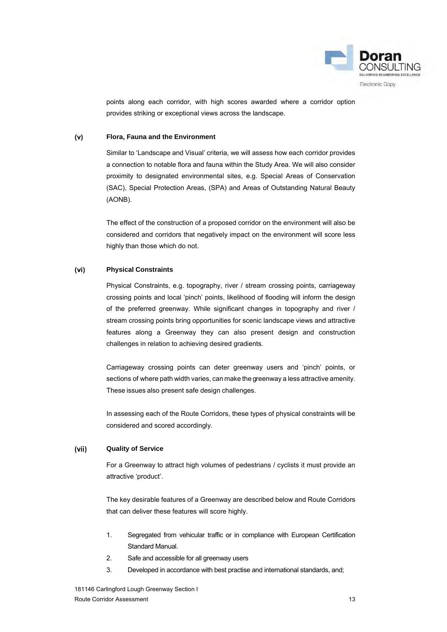

points along each corridor, with high scores awarded where a corridor option provides striking or exceptional views across the landscape.

#### $(v)$ **Flora, Fauna and the Environment**

Similar to 'Landscape and Visual' criteria, we will assess how each corridor provides a connection to notable flora and fauna within the Study Area. We will also consider proximity to designated environmental sites, e.g. Special Areas of Conservation (SAC), Special Protection Areas, (SPA) and Areas of Outstanding Natural Beauty (AONB).

The effect of the construction of a proposed corridor on the environment will also be considered and corridors that negatively impact on the environment will score less highly than those which do not.

#### $(v<sub>i</sub>)$ **Physical Constraints**

Physical Constraints, e.g. topography, river / stream crossing points, carriageway crossing points and local 'pinch' points, likelihood of flooding will inform the design of the preferred greenway. While significant changes in topography and river / stream crossing points bring opportunities for scenic landscape views and attractive features along a Greenway they can also present design and construction challenges in relation to achieving desired gradients.

Carriageway crossing points can deter greenway users and 'pinch' points, or sections of where path width varies, can make the greenway a less attractive amenity. These issues also present safe design challenges.

In assessing each of the Route Corridors, these types of physical constraints will be considered and scored accordingly.

#### $(vii)$ **Quality of Service**

For a Greenway to attract high volumes of pedestrians / cyclists it must provide an attractive 'product'.

The key desirable features of a Greenway are described below and Route Corridors that can deliver these features will score highly.

- 1. Segregated from vehicular traffic or in compliance with European Certification Standard Manual.
- 2. Safe and accessible for all greenway users
- 3. Developed in accordance with best practise and international standards, and;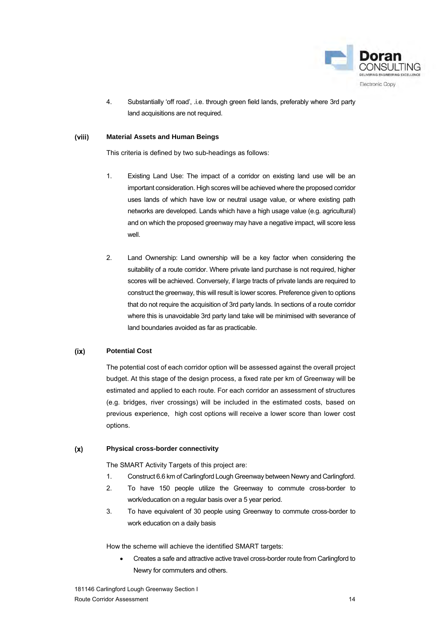

4. Substantially 'off road', .i.e. through green field lands, preferably where 3rd party land acquisitions are not required.

#### (viii) **Material Assets and Human Beings**

This criteria is defined by two sub-headings as follows:

- 1. Existing Land Use: The impact of a corridor on existing land use will be an important consideration. High scores will be achieved where the proposed corridor uses lands of which have low or neutral usage value, or where existing path networks are developed. Lands which have a high usage value (e.g. agricultural) and on which the proposed greenway may have a negative impact, will score less well.
- 2. Land Ownership: Land ownership will be a key factor when considering the suitability of a route corridor. Where private land purchase is not required, higher scores will be achieved. Conversely, if large tracts of private lands are required to construct the greenway, this will result is lower scores. Preference given to options that do not require the acquisition of 3rd party lands. In sections of a route corridor where this is unavoidable 3rd party land take will be minimised with severance of land boundaries avoided as far as practicable.

#### $(ix)$ **Potential Cost**

The potential cost of each corridor option will be assessed against the overall project budget. At this stage of the design process, a fixed rate per km of Greenway will be estimated and applied to each route. For each corridor an assessment of structures (e.g. bridges, river crossings) will be included in the estimated costs, based on previous experience, high cost options will receive a lower score than lower cost options.

#### **Physical cross-border connectivity**  $(x)$

The SMART Activity Targets of this project are:

- 1. Construct 6.6 km of Carlingford Lough Greenway between Newry and Carlingford.
- 2. To have 150 people utilize the Greenway to commute cross-border to work/education on a regular basis over a 5 year period.
- 3. To have equivalent of 30 people using Greenway to commute cross-border to work education on a daily basis

How the scheme will achieve the identified SMART targets:

 Creates a safe and attractive active travel cross-border route from Carlingford to Newry for commuters and others.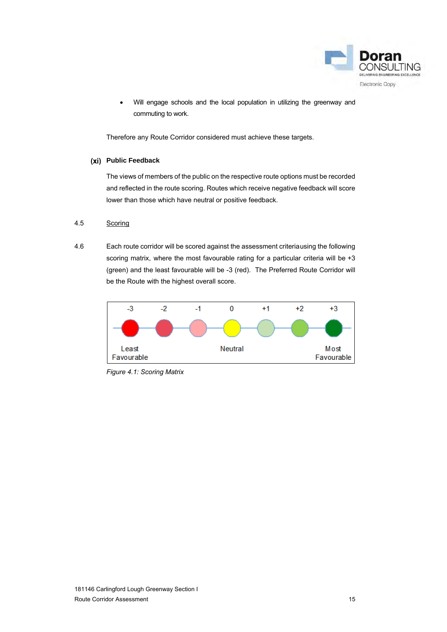

Will engage schools and the local population in utilizing the greenway and commuting to work.

Therefore any Route Corridor considered must achieve these targets.

### **Public Feedback**

The views of members of the public on the respective route options must be recorded and reflected in the route scoring. Routes which receive negative feedback will score lower than those which have neutral or positive feedback.

### 4.5 Scoring

4.6 Each route corridor will be scored against the assessment criteria using the following scoring matrix, where the most favourable rating for a particular criteria will be +3 (green) and the least favourable will be -3 (red). The Preferred Route Corridor will be the Route with the highest overall score.



*Figure 4.1: Scoring Matrix*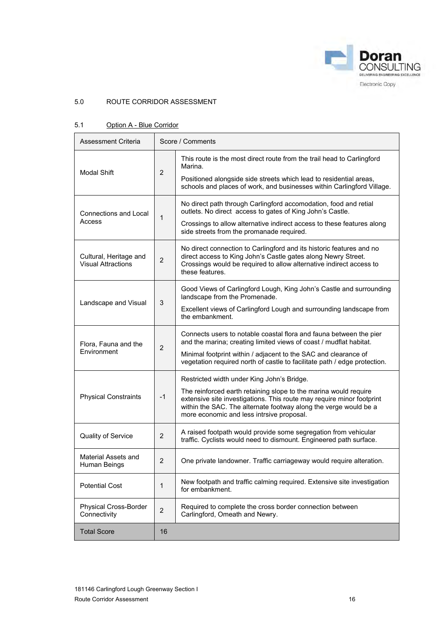

### <span id="page-17-0"></span>5.0 ROUTE CORRIDOR ASSESSMENT

### 5.1 Option A - Blue Corridor

| Assessment Criteria                                 | Score / Comments |                                                                                                                                                                                                                                                                                                          |  |  |
|-----------------------------------------------------|------------------|----------------------------------------------------------------------------------------------------------------------------------------------------------------------------------------------------------------------------------------------------------------------------------------------------------|--|--|
| <b>Modal Shift</b>                                  | $\overline{2}$   | This route is the most direct route from the trail head to Carlingford<br>Marina.<br>Positioned alongside side streets which lead to residential areas,<br>schools and places of work, and businesses within Carlingford Village.                                                                        |  |  |
| <b>Connections and Local</b><br>Access              | 1                | No direct path through Carlingford accomodation, food and retial<br>outlets. No direct access to gates of King John's Castle.<br>Crossings to allow alternative indirect access to these features along<br>side streets from the promanade required.                                                     |  |  |
| Cultural, Heritage and<br><b>Visual Attractions</b> | $\overline{2}$   | No direct connection to Carlingford and its historic features and no<br>direct access to King John's Castle gates along Newry Street.<br>Crossings would be required to allow alternative indirect access to<br>these features.                                                                          |  |  |
| Landscape and Visual                                | 3                | Good Views of Carlingford Lough, King John's Castle and surrounding<br>landscape from the Promenade.<br>Excellent views of Carlingford Lough and surrounding landscape from<br>the embankment.                                                                                                           |  |  |
| Flora, Fauna and the<br>Environment                 | $\overline{2}$   | Connects users to notable coastal flora and fauna between the pier<br>and the marina; creating limited views of coast / mudflat habitat.<br>Minimal footprint within / adjacent to the SAC and clearance of<br>vegetation required north of castle to facilitate path / edge protection.                 |  |  |
| <b>Physical Constraints</b>                         | $-1$             | Restricted width under King John's Bridge.<br>The reinforced earth retaining slope to the marina would require<br>extensive site investigations. This route may require minor footprint<br>within the SAC. The alternate footway along the verge would be a<br>more economic and less intrsive proposal. |  |  |
| Quality of Service                                  | $\overline{2}$   | A raised footpath would provide some segregation from vehicular<br>traffic. Cyclists would need to dismount. Engineered path surface.                                                                                                                                                                    |  |  |
| Material Assets and<br>Human Beings                 | $\overline{2}$   | One private landowner. Traffic carriageway would require alteration.                                                                                                                                                                                                                                     |  |  |
| <b>Potential Cost</b>                               | 1                | New footpath and traffic calming required. Extensive site investigation<br>for embankment.                                                                                                                                                                                                               |  |  |
| Physical Cross-Border<br>Connectivity               | $\overline{2}$   | Required to complete the cross border connection between<br>Carlingford, Omeath and Newry.                                                                                                                                                                                                               |  |  |
| <b>Total Score</b>                                  | 16               |                                                                                                                                                                                                                                                                                                          |  |  |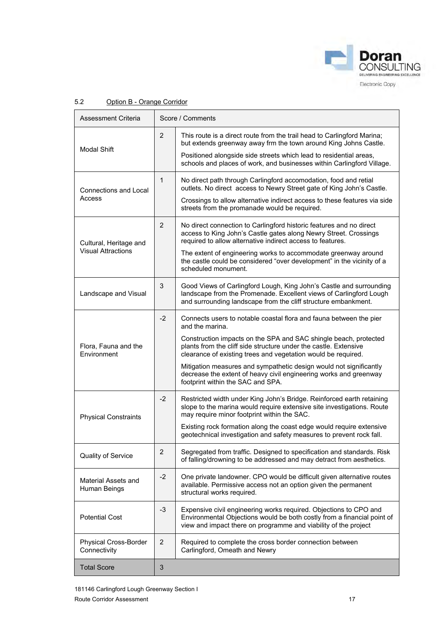

| Assessment Criteria                                 |                | Score / Comments                                                                                                                                                                                                                                                                                                                                                                                                                                                               |
|-----------------------------------------------------|----------------|--------------------------------------------------------------------------------------------------------------------------------------------------------------------------------------------------------------------------------------------------------------------------------------------------------------------------------------------------------------------------------------------------------------------------------------------------------------------------------|
| <b>Modal Shift</b>                                  | $\overline{2}$ | This route is a direct route from the trail head to Carlingford Marina;<br>but extends greenway away frm the town around King Johns Castle.<br>Positioned alongside side streets which lead to residential areas,<br>schools and places of work, and businesses within Carlingford Village.                                                                                                                                                                                    |
| Connections and Local<br>Access                     | $\mathbf 1$    | No direct path through Carlingford accomodation, food and retial<br>outlets. No direct access to Newry Street gate of King John's Castle.<br>Crossings to allow alternative indirect access to these features via side<br>streets from the promanade would be required.                                                                                                                                                                                                        |
| Cultural, Heritage and<br><b>Visual Attractions</b> | 2              | No direct connection to Carlingford historic features and no direct<br>access to King John's Castle gates along Newry Street. Crossings<br>required to allow alternative indirect access to features.<br>The extent of engineering works to accommodate greenway around<br>the castle could be considered "over development" in the vicinity of a<br>scheduled monument.                                                                                                       |
| Landscape and Visual                                | 3              | Good Views of Carlingford Lough, King John's Castle and surrounding<br>landscape from the Promenade. Excellent views of Carlingford Lough<br>and surrounding landscape from the cliff structure embankment.                                                                                                                                                                                                                                                                    |
| Flora, Fauna and the<br>Environment                 | $-2$           | Connects users to notable coastal flora and fauna between the pier<br>and the marina.<br>Construction impacts on the SPA and SAC shingle beach, protected<br>plants from the cliff side structure under the castle. Extensive<br>clearance of existing trees and vegetation would be required.<br>Mitigation measures and sympathetic design would not significantly<br>decrease the extent of heavy civil engineering works and greenway<br>footprint within the SAC and SPA. |
| <b>Physical Constraints</b>                         | -2             | Restricted width under King John's Bridge. Reinforced earth retaining<br>slope to the marina would require extensive site investigations. Route<br>may require minor footprint within the SAC.<br>Existing rock formation along the coast edge would require extensive<br>geotechnical investigation and safety measures to prevent rock fall.                                                                                                                                 |
| Quality of Service                                  | $\overline{2}$ | Segregated from traffic. Designed to specification and standards. Risk<br>of falling/drowning to be addressed and may detract from aesthetics.                                                                                                                                                                                                                                                                                                                                 |
| Material Assets and<br>Human Beings                 | $-2$           | One private landowner. CPO would be difficult given alternative routes<br>available. Permissive access not an option given the permanent<br>structural works required.                                                                                                                                                                                                                                                                                                         |
| <b>Potential Cost</b>                               | $-3$           | Expensive civil engineering works required. Objections to CPO and<br>Environmental Objections would be both costly from a financial point of<br>view and impact there on programme and viability of the project                                                                                                                                                                                                                                                                |
| <b>Physical Cross-Border</b><br>Connectivity        | $\overline{2}$ | Required to complete the cross border connection between<br>Carlingford, Omeath and Newry                                                                                                                                                                                                                                                                                                                                                                                      |
| <b>Total Score</b>                                  | 3              |                                                                                                                                                                                                                                                                                                                                                                                                                                                                                |

### 5.2 Option B - Orange Corridor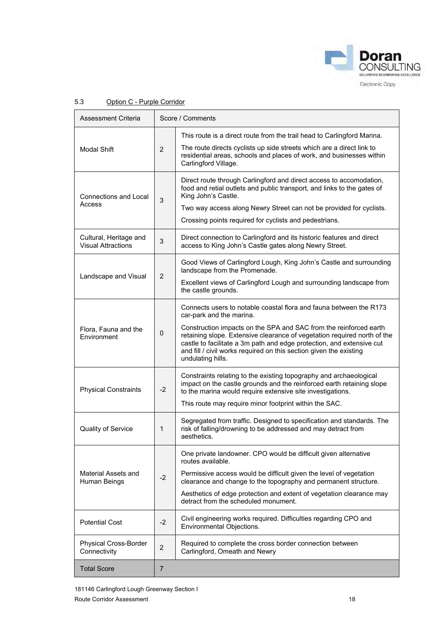

| Assessment Criteria                                 |                | Score / Comments                                                                                                                                                                                                                                                                                                  |
|-----------------------------------------------------|----------------|-------------------------------------------------------------------------------------------------------------------------------------------------------------------------------------------------------------------------------------------------------------------------------------------------------------------|
| <b>Modal Shift</b>                                  | $\overline{2}$ | This route is a direct route from the trail head to Carlingford Marina.<br>The route directs cyclists up side streets which are a direct link to<br>residential areas, schools and places of work, and businesses within                                                                                          |
|                                                     |                | Carlingford Village.                                                                                                                                                                                                                                                                                              |
| Connections and Local<br>Access                     | 3              | Direct route through Carlingford and direct access to accomodation,<br>food and retial outlets and public transport, and links to the gates of<br>King John's Castle.<br>Two way access along Newry Street can not be provided for cyclists.                                                                      |
|                                                     |                | Crossing points required for cyclists and pedestrians.                                                                                                                                                                                                                                                            |
| Cultural, Heritage and<br><b>Visual Attractions</b> | 3              | Direct connection to Carlingford and its historic features and direct<br>access to King John's Castle gates along Newry Street.                                                                                                                                                                                   |
|                                                     | 2              | Good Views of Carlingford Lough, King John's Castle and surrounding<br>landscape from the Promenade.                                                                                                                                                                                                              |
| Landscape and Visual                                |                | Excellent views of Carlingford Lough and surrounding landscape from<br>the castle grounds.                                                                                                                                                                                                                        |
|                                                     |                | Connects users to notable coastal flora and fauna between the R173<br>car-park and the marina.                                                                                                                                                                                                                    |
| Flora, Fauna and the<br>Environment                 | $\mathbf 0$    | Construction impacts on the SPA and SAC from the reinforced earth<br>retaining slope. Extensive clearance of vegetation required north of the<br>castle to facilitate a 3m path and edge protection, and extensive cut<br>and fill / civil works required on this section given the existing<br>undulating hills. |
| <b>Physical Constraints</b>                         | $-2$           | Constraints relating to the existing topography and archaeological<br>impact on the castle grounds and the reinforced earth retaining slope<br>to the marina would require extensive site investigations.                                                                                                         |
|                                                     |                | This route may require minor footprint within the SAC.                                                                                                                                                                                                                                                            |
| Quality of Service                                  | 1              | Segregated from traffic. Designed to specification and standards. The<br>risk of falling/drowning to be addressed and may detract from<br>aesthetics.                                                                                                                                                             |
|                                                     |                | One private landowner. CPO would be difficult given alternative<br>routes available.                                                                                                                                                                                                                              |
| Material Assets and<br>Human Beings                 | $-2$           | Permissive access would be difficult given the level of vegetation<br>clearance and change to the topography and permanent structure.                                                                                                                                                                             |
|                                                     |                | Aesthetics of edge protection and extent of vegetation clearance may<br>detract from the scheduled monument.                                                                                                                                                                                                      |
| <b>Potential Cost</b>                               | $-2$           | Civil engineering works required. Difficulties regarding CPO and<br>Environmental Objections.                                                                                                                                                                                                                     |
| Physical Cross-Border<br>Connectivity               | $\overline{2}$ | Required to complete the cross border connection between<br>Carlingford, Omeath and Newry                                                                                                                                                                                                                         |
| <b>Total Score</b>                                  | 7              |                                                                                                                                                                                                                                                                                                                   |

### 5.3 Option C - Purple Corridor

181146 Carlingford Lough Greenway Section I Route Corridor Assessment 18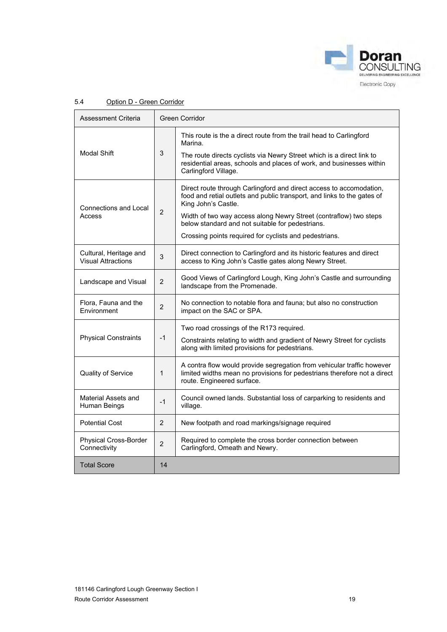

| Assessment Criteria                                 | <b>Green Corridor</b> |                                                                                                                                                                                                                                                                                                                                                          |  |  |
|-----------------------------------------------------|-----------------------|----------------------------------------------------------------------------------------------------------------------------------------------------------------------------------------------------------------------------------------------------------------------------------------------------------------------------------------------------------|--|--|
| <b>Modal Shift</b>                                  | 3                     | This route is the a direct route from the trail head to Carlingford<br>Marina.<br>The route directs cyclists via Newry Street which is a direct link to<br>residential areas, schools and places of work, and businesses within<br>Carlingford Village.                                                                                                  |  |  |
| <b>Connections and Local</b><br>Access              | 2                     | Direct route through Carlingford and direct access to accomodation,<br>food and retial outlets and public transport, and links to the gates of<br>King John's Castle.<br>Width of two way access along Newry Street (contraflow) two steps<br>below standard and not suitable for pedestrians.<br>Crossing points required for cyclists and pedestrians. |  |  |
| Cultural, Heritage and<br><b>Visual Attractions</b> | 3                     | Direct connection to Carlingford and its historic features and direct<br>access to King John's Castle gates along Newry Street.                                                                                                                                                                                                                          |  |  |
| Landscape and Visual                                | $\overline{2}$        | Good Views of Carlingford Lough, King John's Castle and surrounding<br>landscape from the Promenade.                                                                                                                                                                                                                                                     |  |  |
| Flora, Fauna and the<br>Environment                 | 2                     | No connection to notable flora and fauna; but also no construction<br>impact on the SAC or SPA.                                                                                                                                                                                                                                                          |  |  |
| <b>Physical Constraints</b>                         | $-1$                  | Two road crossings of the R173 required.<br>Constraints relating to width and gradient of Newry Street for cyclists<br>along with limited provisions for pedestrians.                                                                                                                                                                                    |  |  |
| Quality of Service                                  | 1                     | A contra flow would provide segregation from vehicular traffic however<br>limited widths mean no provisions for pedestrians therefore not a direct<br>route. Engineered surface.                                                                                                                                                                         |  |  |
| Material Assets and<br>Human Beings                 | $-1$                  | Council owned lands. Substantial loss of carparking to residents and<br>village.                                                                                                                                                                                                                                                                         |  |  |
| <b>Potential Cost</b>                               | 2                     | New footpath and road markings/signage required                                                                                                                                                                                                                                                                                                          |  |  |
| <b>Physical Cross-Border</b><br>Connectivity        | $\overline{2}$        | Required to complete the cross border connection between<br>Carlingford, Omeath and Newry.                                                                                                                                                                                                                                                               |  |  |
| <b>Total Score</b>                                  | 14                    |                                                                                                                                                                                                                                                                                                                                                          |  |  |

### 5.4 Option D - Green Corridor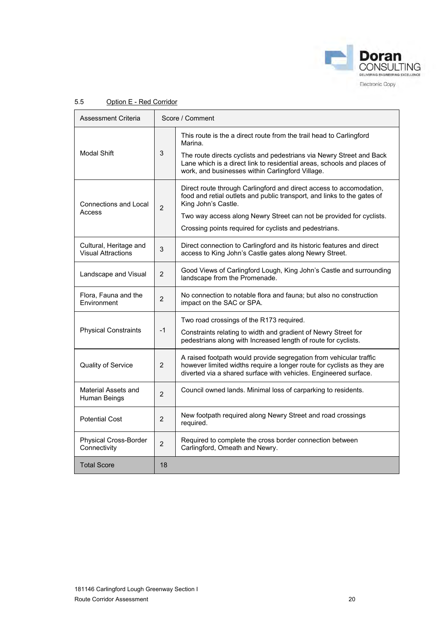

| Assessment Criteria                                 | Score / Comment |                                                                                                                                                                                                                                                                                                        |  |
|-----------------------------------------------------|-----------------|--------------------------------------------------------------------------------------------------------------------------------------------------------------------------------------------------------------------------------------------------------------------------------------------------------|--|
| Modal Shift                                         | 3               | This route is the a direct route from the trail head to Carlingford<br>Marina.<br>The route directs cyclists and pedestrians via Newry Street and Back<br>Lane which is a direct link to residential areas, schools and places of<br>work, and businesses within Carlingford Village.                  |  |
| <b>Connections and Local</b><br>Access              | $\overline{2}$  | Direct route through Carlingford and direct access to accomodation,<br>food and retial outlets and public transport, and links to the gates of<br>King John's Castle.<br>Two way access along Newry Street can not be provided for cyclists.<br>Crossing points required for cyclists and pedestrians. |  |
| Cultural, Heritage and<br><b>Visual Attractions</b> | 3               | Direct connection to Carlingford and its historic features and direct<br>access to King John's Castle gates along Newry Street.                                                                                                                                                                        |  |
| Landscape and Visual                                | $\overline{2}$  | Good Views of Carlingford Lough, King John's Castle and surrounding<br>landscape from the Promenade.                                                                                                                                                                                                   |  |
| Flora, Fauna and the<br>Environment                 | $\overline{2}$  | No connection to notable flora and fauna; but also no construction<br>impact on the SAC or SPA.                                                                                                                                                                                                        |  |
| <b>Physical Constraints</b>                         | $-1$            | Two road crossings of the R173 required.<br>Constraints relating to width and gradient of Newry Street for<br>pedestrians along with Increased length of route for cyclists.                                                                                                                           |  |
| Quality of Service                                  | $\overline{2}$  | A raised footpath would provide segregation from vehicular traffic<br>however limited widths require a longer route for cyclists as they are<br>diverted via a shared surface with vehicles. Engineered surface.                                                                                       |  |
| Material Assets and<br>Human Beings                 | $\overline{2}$  | Council owned lands. Minimal loss of carparking to residents.                                                                                                                                                                                                                                          |  |
| <b>Potential Cost</b>                               | $\overline{2}$  | New footpath required along Newry Street and road crossings<br>required.                                                                                                                                                                                                                               |  |
| Physical Cross-Border<br>Connectivity               | $\overline{2}$  | Required to complete the cross border connection between<br>Carlingford, Omeath and Newry.                                                                                                                                                                                                             |  |
| <b>Total Score</b>                                  | 18              |                                                                                                                                                                                                                                                                                                        |  |

### 5.5 Option E - Red Corridor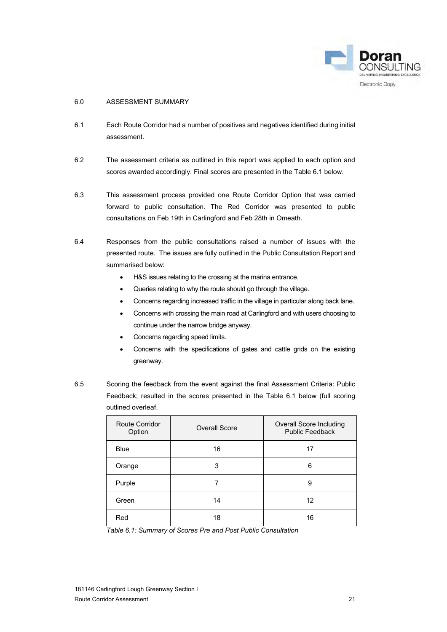

### <span id="page-22-0"></span>6.0 ASSESSMENT SUMMARY

- 6.1 Each Route Corridor had a number of positives and negatives identified during initial assessment.
- 6.2 The assessment criteria as outlined in this report was applied to each option and scores awarded accordingly. Final scores are presented in the Table 6.1 below.
- 6.3 This assessment process provided one Route Corridor Option that was carried forward to public consultation. The Red Corridor was presented to public consultations on Feb 19th in Carlingford and Feb 28th in Omeath.
- 6.4 Responses from the public consultations raised a number of issues with the presented route. The issues are fully outlined in the Public Consultation Report and summarised below:
	- H&S issues relating to the crossing at the marina entrance.
	- Queries relating to why the route should go through the village.
	- Concerns regarding increased traffic in the village in particular along back lane.
	- Concerns with crossing the main road at Carlingford and with users choosing to continue under the narrow bridge anyway.
	- Concerns regarding speed limits.
	- Concerns with the specifications of gates and cattle grids on the existing greenway.
- 6.5 Scoring the feedback from the event against the final Assessment Criteria: Public Feedback; resulted in the scores presented in the Table 6.1 below (full scoring outlined overleaf.

| Route Corridor<br>Option | <b>Overall Score</b> | Overall Score Including<br><b>Public Feedback</b> |
|--------------------------|----------------------|---------------------------------------------------|
| <b>Blue</b>              | 16                   | 17                                                |
| Orange                   | 3                    | 6                                                 |
| Purple                   |                      | 9                                                 |
| Green                    | 14                   | 12                                                |
| Red                      | 18                   | 16                                                |

*Table 6.1: Summary of Scores Pre and Post Public Consultation*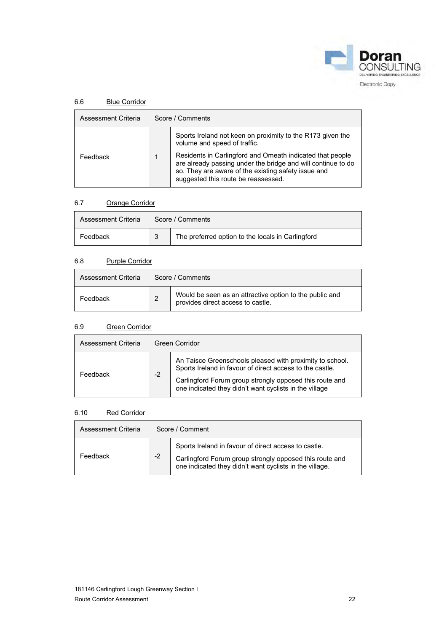

### 6.6 Blue Corridor

| Assessment Criteria | Score / Comments                                                                                                                                                                                                        |
|---------------------|-------------------------------------------------------------------------------------------------------------------------------------------------------------------------------------------------------------------------|
|                     | Sports Ireland not keen on proximity to the R173 given the<br>volume and speed of traffic.                                                                                                                              |
| Feedback            | Residents in Carlingford and Omeath indicated that people<br>are already passing under the bridge and will continue to do<br>so. They are aware of the existing safety issue and<br>suggested this route be reassessed. |

### 6.7 Orange Corridor

| Assessment Criteria |   | Score / Comments                                  |
|---------------------|---|---------------------------------------------------|
| Feedback            | ു | The preferred option to the locals in Carlingford |

### 6.8 Purple Corridor

| Assessment Criteria | Score / Comments |                                                                                              |  |
|---------------------|------------------|----------------------------------------------------------------------------------------------|--|
| Feedback            | $\overline{2}$   | Would be seen as an attractive option to the public and<br>provides direct access to castle. |  |

### 6.9 Green Corridor

| Assessment Criteria |      | Green Corridor                                                                                                                                                                                                                            |
|---------------------|------|-------------------------------------------------------------------------------------------------------------------------------------------------------------------------------------------------------------------------------------------|
| Feedback            | $-2$ | An Taisce Greenschools pleased with proximity to school.<br>Sports Ireland in favour of direct access to the castle.<br>Carlingford Forum group strongly opposed this route and<br>one indicated they didn't want cyclists in the village |

### 6.10 Red Corridor

| Assessment Criteria | Score / Comment |                                                                                                                                                                            |
|---------------------|-----------------|----------------------------------------------------------------------------------------------------------------------------------------------------------------------------|
| Feedback            | $-2$            | Sports Ireland in favour of direct access to castle.<br>Carlingford Forum group strongly opposed this route and<br>one indicated they didn't want cyclists in the village. |